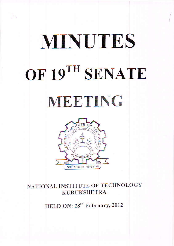# MINUTES OF  $19^{TH}$  SENATE MEETING



# NATIONAL INSTITUTE OF TECHNOLOGY KURUKSHETRA

HELD ON: 28<sup>th</sup> February, 2012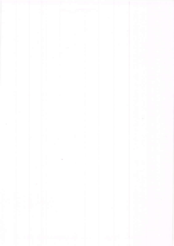|  |      |               | п   |  |    |        |
|--|------|---------------|-----|--|----|--------|
|  |      |               | me. |  |    |        |
|  |      |               | ٦   |  |    |        |
|  |      |               |     |  |    |        |
|  |      |               |     |  |    |        |
|  |      |               |     |  |    |        |
|  |      |               |     |  |    |        |
|  |      |               |     |  |    |        |
|  |      |               |     |  |    |        |
|  |      |               |     |  |    |        |
|  |      |               |     |  |    |        |
|  |      |               |     |  |    |        |
|  |      |               |     |  |    |        |
|  |      |               |     |  |    |        |
|  |      |               |     |  |    |        |
|  |      |               |     |  |    |        |
|  |      |               |     |  |    |        |
|  |      |               |     |  | œ. |        |
|  |      |               |     |  |    |        |
|  |      |               |     |  |    |        |
|  |      |               |     |  |    |        |
|  |      |               | i   |  |    |        |
|  |      |               |     |  |    |        |
|  |      | $\mathcal{D}$ |     |  |    |        |
|  |      |               |     |  |    |        |
|  |      |               |     |  |    |        |
|  |      |               | 19  |  |    |        |
|  |      |               |     |  |    |        |
|  |      |               |     |  |    |        |
|  |      |               |     |  |    |        |
|  |      |               |     |  |    |        |
|  |      |               |     |  |    |        |
|  | mag. |               |     |  |    |        |
|  |      |               |     |  |    |        |
|  |      |               |     |  |    |        |
|  |      | o pr          |     |  |    |        |
|  |      |               |     |  |    | $\sim$ |
|  |      |               |     |  |    |        |
|  |      |               |     |  |    |        |
|  |      |               |     |  |    |        |
|  |      |               |     |  |    |        |
|  |      |               |     |  |    |        |
|  |      |               |     |  |    |        |
|  |      |               |     |  |    |        |
|  |      |               |     |  |    |        |
|  |      |               |     |  |    |        |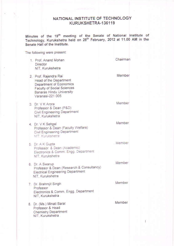### NATIONAL INSTITUTE OF TECHNOLOGY KURUKSHETRA-136119

Minutes of the 19<sup>th</sup> meeting of the Senate of National Institute of<br>Technology, Kurukshetra held on 28<sup>th</sup> February, 2012 at 11.00 AM in the Senate Hall of the Institute.

The following were present:

|       | 1. Prof. Anand Mohan<br>Director<br>NIT, Kurukshetra                                                                                                            | Chairman |
|-------|-----------------------------------------------------------------------------------------------------------------------------------------------------------------|----------|
|       | 2. Prof. Rajendra Rai<br>Head of the Department<br>Department of Economics<br>Faculty of Social Sciences<br><b>Banaras Hindu University</b><br>Varanasi-221 005 | Member   |
|       | 3. Dr. V K Arora<br>Professor & Dean (P&D)<br>Civil Engineering Department<br>NIT, Kurukshetra                                                                  | Member   |
|       | 4. Dr. V K Sehgal<br>Professor & Dean (Faculty Welfare)<br>Civil Engineering Department<br>NIT. Kurukshetra                                                     | Member   |
|       | 5. Dr. A K Gupta<br>Professor & Dean (Academic)<br>Electronics & Comm. Engg. Department<br>NIT, Kurukshetra                                                     | Member   |
|       | 6. Dr. A Swarup<br>Professor & Dean (Research & Consultancy)<br><b>Electrical Engineering Department</b><br>NIT, Kurukshetra                                    | Member   |
| $7 -$ | Dr. Brahmjit Singh<br>Professor<br>Electronics & Comm. Engg. Department<br>NIT, Kurukshetra                                                                     | Member   |
|       | 8. Dr. (Ms.) Minati Baral<br>Professor & Head<br><b>Chemistry Department</b><br>NIT, Kurukshetra                                                                | Member   |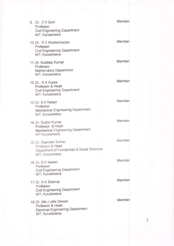| 9. Dr. D K Soni<br>Professor                                                                                   | Member |
|----------------------------------------------------------------------------------------------------------------|--------|
| Civil Engineering Department<br>NIT, Kurukshetra                                                               |        |
| 10. Dr. R C Bhattacharjee<br>Professor                                                                         | Member |
| Civil Engineering Department<br>NIT, Kurukshetra                                                               |        |
| 11. Dr. Kuldeep Kumar<br>Professor<br>Mathematics Department<br>NIT, Kurukshetra                               | Member |
| 12. Dr. N K Gupta<br>Professor & Head<br>Civil Engineering Department<br>NIT. Kurukshetra                      | Member |
| 13. Dr. S S Rattan<br>Professor<br>Mechanical Engineering Department<br>NIT, Kurukshetra                       | Member |
| 14. Dr. Sudhir Kumar<br>Professor & Head<br>Mechanical Engineering Department<br>NIT Kurukshetra               | Member |
| 15. Dr. Rajender Kumar<br>Professor & Head<br>Department of Humanities & Social Sciences<br>NIT, Kurukshetra   | Member |
| 16. Dr. S K Madan<br>Professor<br>Civil Engineering Department<br>NIT, Kurukshetra                             | Member |
| 17. Dr. H K Sharma<br>Professor<br>Civil Engineering Department<br>NIT, Kurukshetra                            | Member |
| 18. Dr. (Ms.) Lillie Dewan<br>Professor & Head<br><b>Electrical Engineering Department</b><br>NIT, Kurukshetra | Member |

 $\overline{2}$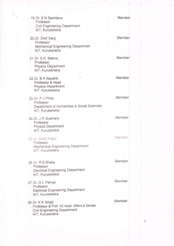| 19. Dr. S N Sachdeva                         | Member |
|----------------------------------------------|--------|
| Professor                                    |        |
| Civil Engineering Department                 |        |
| NIT, Kurukshetra                             |        |
| 20. Dr. Dixit Garg                           | Member |
| Professor                                    |        |
| Mechanical Engineering Department            |        |
| NIT, Kurukshetra                             |        |
| 21. Dr. S.K. Mahna                           | Member |
| Professor                                    |        |
| <b>Physics Department</b>                    |        |
| NIT, Kurukshetra                             |        |
| 22. Dr. B K Kaushik                          | Member |
| Professor & Head                             |        |
| <b>Physics Department</b>                    |        |
| NIT, Kurukshetra                             |        |
| 23. Dr. P J Philip                           | Member |
| Professor                                    |        |
| Department of Humanities & Social Sciences   |        |
| NIT, Kurukshetra                             |        |
|                                              | Member |
| 24. Dr. J K Quamara                          |        |
| Professor                                    |        |
| Physics Department<br>NIT, Kurukshetra       |        |
|                                              |        |
| 25. Dr. Surjit Angra                         | Member |
| Professor                                    |        |
| Mechanical Engineering Department            |        |
| NIT. Kurukshetra                             |        |
|                                              |        |
| 26. Dr. R S Bhatia                           | Member |
| Professor                                    |        |
| <b>Electrical Engineering Department</b>     |        |
| NIT, Kurukshetra                             |        |
| 27. Dr. G L Pahuja                           | Member |
| Professor                                    |        |
| <b>Electrical Engineering Department</b>     |        |
| NIT, Kurukshetra                             |        |
| 28. Dr. K K Singh                            | Member |
| Professor & Prof. I/C Acad. Affairs & Senate |        |
| Civil Engineering Department                 |        |
| NIT, Kurukshetra                             |        |
|                                              |        |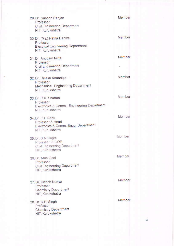| 29. Dr. Subodh Ranjan<br>Professor                                                                      | Member |
|---------------------------------------------------------------------------------------------------------|--------|
| Civil Engineering Department<br>NIT, Kurukshetra                                                        |        |
| 30. Dr. (Ms.) Ratna Dahiya<br>Professor<br><b>Electrical Engineering Department</b><br>NIT, Kurukshetra | Member |
| 31. Dr. Anupam Mittal<br>Professor                                                                      | Member |
| Civil Engineering Department<br>NIT, Kurukshetra                                                        | 595    |
| 32. Dr. Dinesh Khanduja<br>Professor                                                                    | Member |
| Mechanical Engineering Department<br>NIT, Kurukshetra                                                   |        |
| 33. Dr. R.K. Sharma<br>Professor<br>Electronics & Comm. Engineering Department<br>NIT, Kurukshetra      | Member |
| 34. Dr. O.P Sahu<br>Professor & Head<br>Electronics & Comm. Engg. Department<br>NIT, Kurukshetra        | Member |
| 35. Dr. S M Gupta<br>Professor. & COE<br>Civil Engineering Department<br>NIT, Kurukshetra               | Member |
| 36. Dr. Arun Goel<br>Professor<br>Civil Engineering Department<br>NIT. Kurukshetra                      | Member |
| 37. Dr. Diensh Kumar<br>Professor<br><b>Chemistry Department</b><br>NIT, Kurukshetra                    | Member |
| 38. Dr. D.P. Singh<br>Professor<br><b>Chemistry Department</b><br>NIT, Kurukshetra                      | Member |

 $\overline{4}$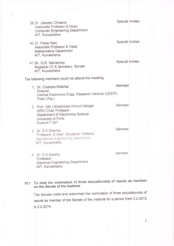| 39. Dr. Jitender Chhabra<br>Associate Professor & Head<br><b>Computer Engineering Department</b><br>NIT, Kurukshetra                        | Special Invitee |
|---------------------------------------------------------------------------------------------------------------------------------------------|-----------------|
| 40. Dr. Paras Ram<br>Associate Professor & Head<br><b>Mathematics Department</b><br>NIT, Kurukshetra                                        | Special Invitee |
| 41. Sh. G.R. Samantray<br>Registrar I/C & Secretary, Senate<br>NIT, Kurukshetra                                                             | Special Invitee |
| The following members could not attend the meeting                                                                                          |                 |
| 1. Dr. Chandra Shekhar<br>Director<br>Central Electronics Engg. Research Institute (CEERI)<br>Pilani (Raj.)                                 | Member          |
| 2. Prof. (Ms.) Shashikala Achyut Gangal<br>ISRO Chair Professor<br>Department of Electronics Science<br>University of Pune,<br>Pune-411 007 | Member          |
| 3. Dr. S K Sharma<br>Professor & Dean (Students' Welfare)<br>Mechanical Engineering Department<br>NIT, Kurukshetra                          | Member          |
| 4. Dr. K S Sandhu<br>Professor<br><b>Electrical Engineering Department</b><br>NIT Kurukshetra                                               | Member          |

# 19.1 To note the nomination of three educationists of repute as member on the Senate of the Institute

The Senate noted and welcomed the nomination of three educationists of repute as member of the Senate of the Institute for a period from 3.2.2012 to 2.2.2014.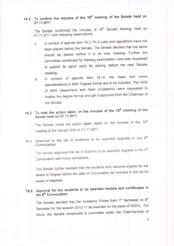# 19.2 To confirm the minutes of the 18<sup>th</sup> meeting of the Senate held on 01,11.2011

The Senate confirmed the minutes of 18<sup>th</sup> Senate Meeting held on 01.11.2011 with following observations

- i) In context of agenda item 18.3, Ph.D rules and regulations have not been placed before the Senate. The Senate decided that the same should be placed before it in its next meeting. Further the committee constituted for framing examination rules was requested to submit its report early for placing before the next Senate meeting.
- ii) In context of agenda item 18.14, the major and minor specializations in MBA Degree format are to be included. The HOD of MBA Department and Dean (Academic) were requested to finalize the degree format and get it approved from the Chairman of the Senate.

### 19.3 To note the action taken on the minutes of the  $18<sup>th</sup>$  meeting of the Senate held on 01.11.2011

The Senate noted the action taken report on the minutes of the  $18<sup>th</sup>$ meeting of the Senate held on 01.11.2011

19.4 Approval to the list of students to be awarded degrees in the  $9<sup>th</sup>$ 

The Senate approved the list of students to be awarded degrees in the  $9<sup>th</sup>$ Convocation with minor corrections.

The Senate further decided that the students who become eligible for the meent of Degree before the date of Convocation be included in the list for award of degrees.

# 19.5 Approval for the students to be awarded medals and certificates in the 9<sup>th</sup> Convocation

The Senate decided that the Academic Prizes from  $1<sup>st</sup>$  Semester to  $8<sup>th</sup>$ Semester for the session 2010-11 be awarded on the basis of SGPA. For future, the Senate constituted a committee under the Chairmanship of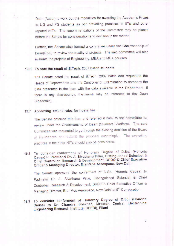Dean (Acad.) to work out the modalities for awarding the Academic Prizes to UG and PG students as per prevailing practices in IITs and other reputed NITs. The recommendations of the Committee may be placed before the Senate for consideration and decision in the matter.

Further, the Senate also formed a committee under the Chairmanship of Dean(R&C) to review the quality of projects. The said committee will also evaluate the projects of Engineering, MBA and MCA courses.

# 19.6 To note the result of B.Tech. 2007 batch students

The Senate noted the result of B.Tech. 2007 batch and requested the Heads of Departments and the Controller of Examination to compare the data presented in the item with the data available in the Department. If there is any discrepancy, the same may be intimated to the Dean (Academic).

# 19.7 Approving refund rules for hostel fee

The Senate deferred this item and referred it back to the committee for review under the Chairmanship of Dean (Students' Welfare). The said Committee was requested to go through the existing decision of the Board of Residences and submit the proposal accordingly. The prevailing practices in the other NITs should also be considered.

19.8 To consider conferment of Honorary Degree of D.Sc. (Honoris Causa) to Padmshri Dr. A. Sivathanu Pillai, Distinguished Scientist & Chief Controller, Research & Development, DRDO & Chief Executive Officer & Managing Director, BrahMos Aerospace, New Delhi

The Senate approved the conferment of D.Sc. (Honoris Causa) to Padmshri Dr. A. Sivathanu Pillai, Distinguished Scientist & Chief Controller, Research & Development, DRDO & Chief Executive Officer & Managing Director, BrahMos Aerospace, New Delhi at 9<sup>th</sup> Convocation.

19.9 To consider conferment of Honorary Degree of D.Sc. (Honoris Causa) to Dr. Chandra Shekhar, Director, Central Electronics Engineering Research Institute (CEERI), Pilani